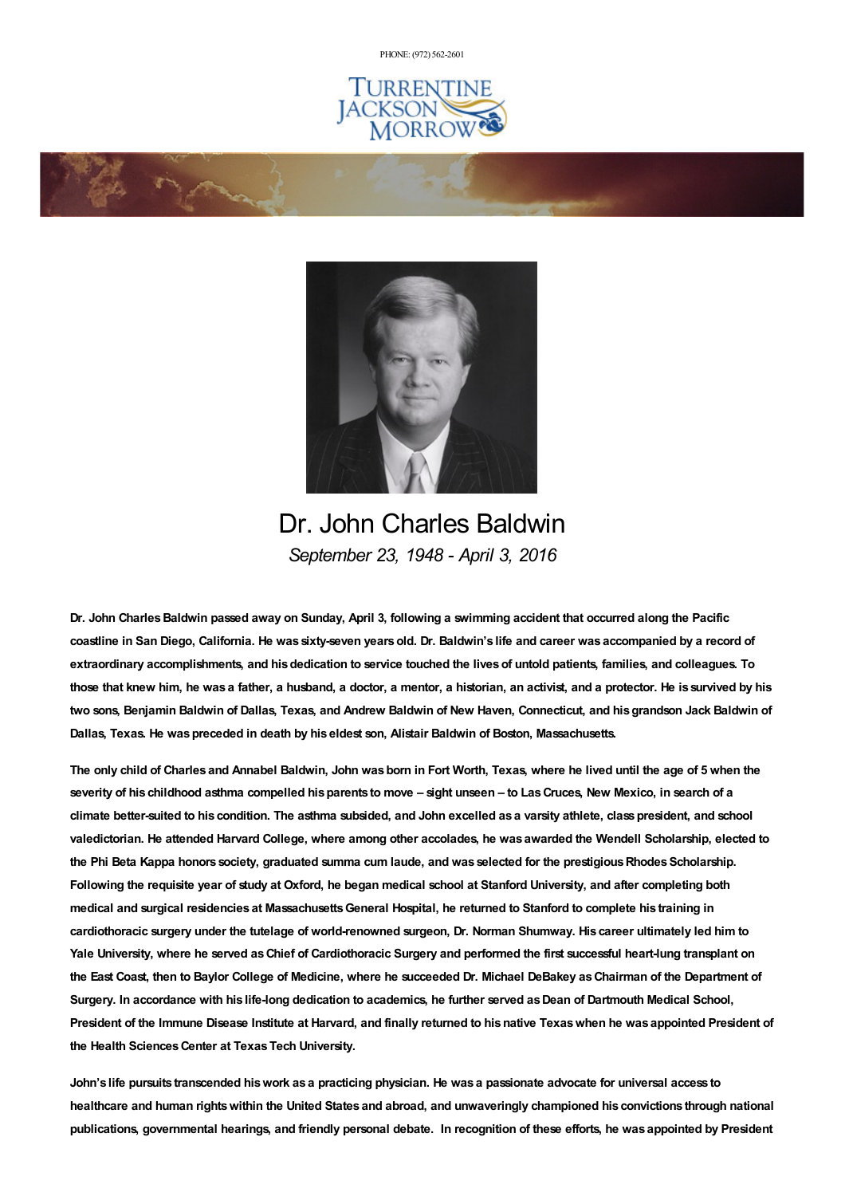PHONE: (972) [562-2601](tel:(972) 562-2601)





Dr. John Charles Baldwin *September 23, 1948 - April 3, 2016*

Dr. John Charles Baldwin passed away on Sunday, April 3, following a swimming accident that occurred along the Pacific coastline in San Diego, California. He was sixty-seven years old. Dr. Baldwin's life and career was accompanied by a record of extraordinary accomplishments, and his dedication to service touched the lives of untold patients, families, and colleagues. To those that knew him, he was a father, a husband, a doctor, a mentor, a historian, an activist, and a protector. He is survived by his two sons, Benjamin Baldwin of Dallas, Texas, and Andrew Baldwin of New Haven, Connecticut, and his grandson Jack Baldwin of **Dallas, Texas. He waspreceded in death by his eldest son, Alistair Baldwin of Boston, Massachusetts.**

The only child of Charles and Annabel Baldwin, John was born in Fort Worth, Texas, where he lived until the age of 5 when the severity of his childhood asthma compelled his parents to move - sight unseen - to Las Cruces, New Mexico, in search of a climate better-suited to his condition. The asthma subsided, and John excelled as a varsity athlete, class president, and school valedictorian. He attended Harvard College, where among other accolades, he was awarded the Wendell Scholarship, elected to the Phi Beta Kappa honors society, graduated summa cum laude, and was selected for the prestigious Rhodes Scholarship. Following the requisite year of study at Oxford, he began medical school at Stanford University, and after completing both medical and surgical residencies at Massachusetts General Hospital, he returned to Stanford to complete his training in cardiothoracic surgery under the tutelage of world-renowned surgeon, Dr. Norman Shumway. His career ultimately led him to Yale University, where he served as Chief of Cardiothoracic Surgery and performed the first successful heart-lung transplant on the East Coast, then to Baylor College of Medicine, where he succeeded Dr. Michael DeBakey as Chairman of the Department of Surgery. In accordance with his life-long dedication to academics, he further served as Dean of Dartmouth Medical School, President of the Immune Disease Institute at Harvard, and finally returned to his native Texas when he was appointed President of **the Health SciencesCenter at TexasTech University.**

John's life pursuits transcended his work as a practicing physician. He was a passionate advocate for universal access to healthcare and human rights within the United States and abroad, and unwaveringly championed his convictions through national publications, governmental hearings, and friendly personal debate. In recognition of these efforts, he was appointed by President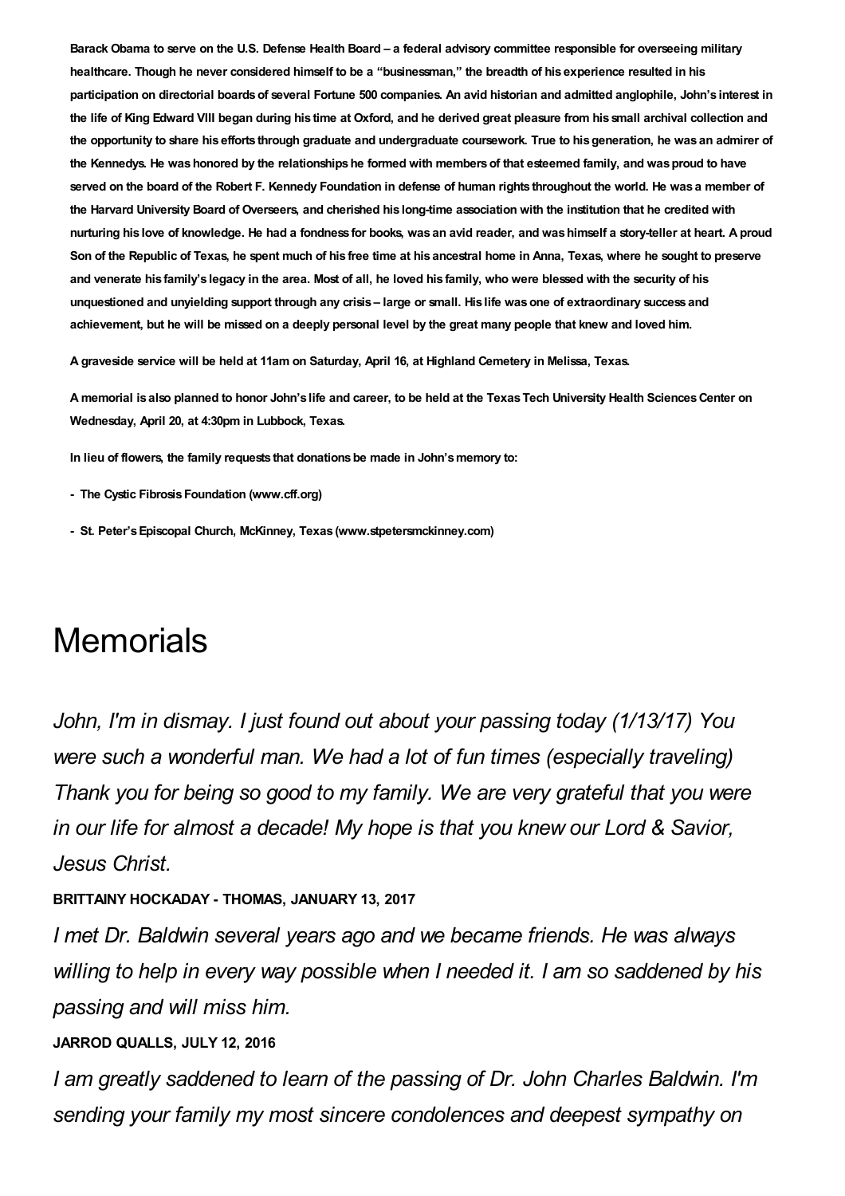Barack Obama to serve on the U.S. Defense Health Board - a federal advisory committee responsible for overseeing military healthcare. Though he never considered himself to be a "businessman," the breadth of his experience resulted in his participation on directorial boards of several Fortune 500 companies. An avid historian and admitted anglophile, John's interest in the life of King Edward VIII began during his time at Oxford, and he derived great pleasure from his small archival collection and the opportunity to share his efforts through graduate and undergraduate coursework. True to his generation, he was an admirer of the Kennedys. He was honored by the relationships he formed with members of that esteemed family, and was proud to have served on the board of the Robert F. Kennedy Foundation in defense of human rights throughout the world. He was a member of the Harvard University Board of Overseers, and cherished his long-time association with the institution that he credited with nurturing his love of knowledge. He had a fondness for books, was an avid reader, and was himself a story-teller at heart. A proud Son of the Republic of Texas, he spent much of his free time at his ancestral home in Anna, Texas, where he sought to preserve and venerate his family's legacy in the area. Most of all, he loved his family, who were blessed with the security of his unquestioned and unyielding support through any crisis - large or small. His life was one of extraordinary success and achievement, but he will be missed on a deeply personal level by the great many people that knew and loved him.

A graveside service will be held at 11am on Saturday, April 16, at Highland Cemetery in Melissa, Texas.

A memorial is also planned to honor John's life and career, to be held at the Texas Tech University Health Sciences Center on **Wednesday, April 20, at 4:30pm in Lubbock, Texas.**

**In lieu of flowers, the family requests that donationsbe made in John'smemory to:**

- **- The Cystic FibrosisFoundation (www.cff.org)**
- **- St. Peter'sEpiscopal Church, McKinney, Texas (www.stpetersmckinney.com)**

# **Memorials**

*John, I'm in dismay. I just found out about your passing today (1/13/17) You were such a wonderful man. We had a lot of fun times (especially traveling) Thank you for being so good to my family. We are very grateful that you were in our life for almost a decade! My hope is that you knew our Lord & Savior, Jesus Christ.*

**BRITTAINY HOCKADAY - THOMAS, JANUARY 13, 2017**

*I met Dr. Baldwin several years ago and we became friends. He was always willing to help in every way possible when I needed it. I am so saddened by his passing and will miss him.*

#### **JARROD QUALLS, JULY 12, 2016**

*I am greatly saddened to learn of the passing of Dr. John Charles Baldwin. I'm sending your family my most sincere condolences and deepest sympathy on*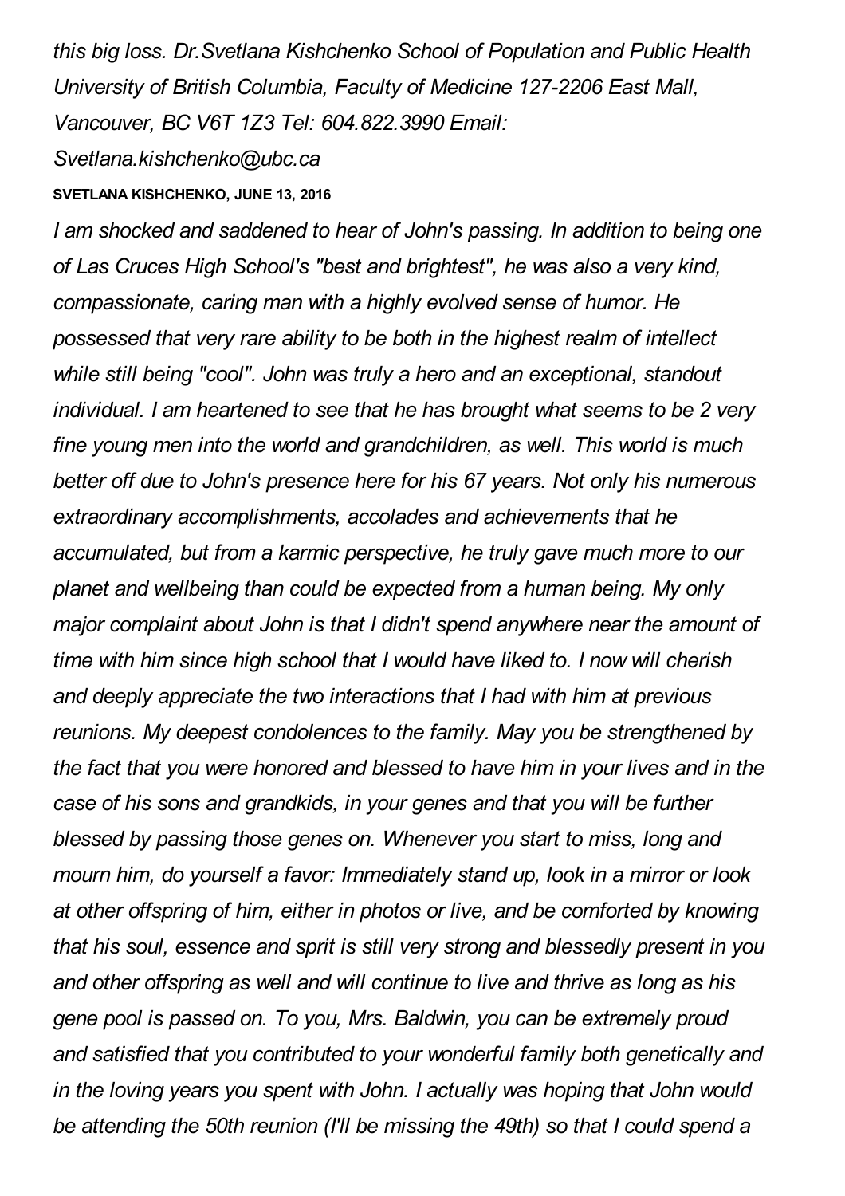*this big loss. Dr.Svetlana Kishchenko School of Population and Public Health University of British Columbia, Faculty of Medicine 127-2206 East Mall, Vancouver, BC V6T 1Z3 Tel: 604.822.3990 Email:*

*Svetlana.kishchenko@ubc.ca*

## **SVETLANA KISHCHENKO, JUNE 13, 2016**

*I am shocked and saddened to hear of John's passing. In addition to being one of Las Cruces High School's "best and brightest", he was also a very kind, compassionate, caring man with a highly evolved sense of humor. He possessed that very rare ability to be both in the highest realm of intellect while still being "cool". John was truly a hero and an exceptional, standout individual. I am heartened to see that he has brought what seems to be 2 very fine young men into the world and grandchildren, as well. This world is much better off due to John's presence here for his 67 years. Not only his numerous extraordinary accomplishments, accolades and achievements that he accumulated, but from a karmic perspective, he truly gave much more to our planet and wellbeing than could be expected from a human being. My only major complaint about John is that I didn't spend anywhere near the amount of time with him since high school that I would have liked to. I now will cherish and deeply appreciate the two interactions that I had with him at previous reunions. My deepest condolences to the family. May you be strengthened by the fact that you were honored and blessed to have him in your lives and in the case of his sons and grandkids, in your genes and that you will be further blessed by passing those genes on. Whenever you start to miss, long and mourn him, do yourself a favor: Immediately stand up, look in a mirror or look at other offspring of him, either in photos or live, and be comforted by knowing that his soul, essence and sprit is still very strong and blessedly present in you and other offspring as well and will continue to live and thrive as long as his gene pool is passed on. To you, Mrs. Baldwin, you can be extremely proud and satisfied that you contributed to your wonderful family both genetically and in the loving years you spent with John. I actually was hoping that John would be attending the 50th reunion (I'll be missing the 49th) so that I could spend a*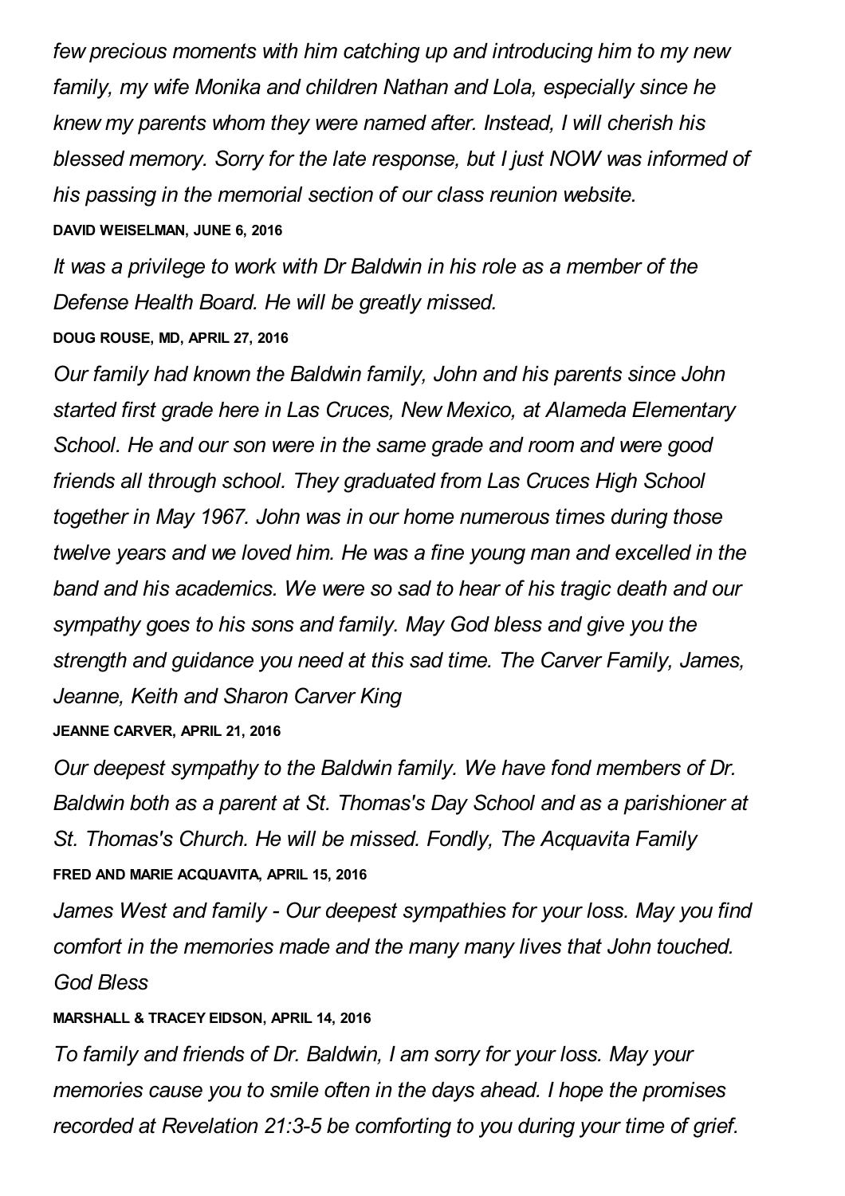*few precious moments with him catching up and introducing him to my new family, my wife Monika and children Nathan and Lola, especially since he knew my parents whom they were named after. Instead, I will cherish his blessed memory. Sorry for the late response, but I just NOW was informed of his passing in the memorial section of our class reunion website.* **DAVID WEISELMAN, JUNE 6, 2016**

*It was a privilege to work with Dr Baldwin in his role as a member of the Defense Health Board. He will be greatly missed.* **DOUG ROUSE, MD, APRIL 27, 2016**

*Our family had known the Baldwin family, John and his parents since John started first grade here in Las Cruces, New Mexico, at Alameda Elementary School. He and our son were in the same grade and room and were good friends all through school. They graduated from Las Cruces High School together in May 1967. John was in our home numerous times during those twelve years and we loved him. He was a fine young man and excelled in the band and his academics. We were so sad to hear of his tragic death and our sympathy goes to his sons and family. May God bless and give you the strength and guidance you need at this sad time. The Carver Family, James, Jeanne, Keith and Sharon Carver King*

#### **JEANNE CARVER, APRIL 21, 2016**

*Our deepest sympathy to the Baldwin family. We have fond members of Dr. Baldwin both as a parent at St. Thomas's Day School and as a parishioner at St. Thomas's Church. He will be missed. Fondly, The Acquavita Family* **FRED AND MARIE ACQUAVITA, APRIL 15, 2016**

*James West and family - Our deepest sympathies for your loss. May you find comfort in the memories made and the many many lives that John touched. God Bless*

### **MARSHALL & TRACEY EIDSON, APRIL 14, 2016**

*To family and friends of Dr. Baldwin, I am sorry for your loss. May your memories cause you to smile often in the days ahead. I hope the promises recorded at Revelation 21:3-5 be comforting to you during your time of grief.*